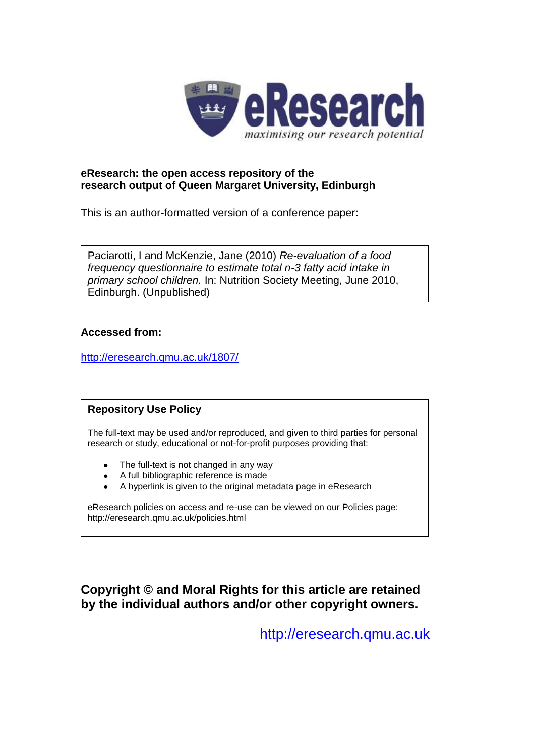

### **eResearch: the open access repository of the research output of Queen Margaret University, Edinburgh**

This is an author-formatted version of a conference paper:

Paciarotti, I and McKenzie, Jane (2010) *Re-evaluation of a food frequency questionnaire to estimate total n-3 fatty acid intake in primary school children.* In: Nutrition Society Meeting, June 2010, Edinburgh. (Unpublished)

### **Accessed from:**

<http://eresearch.qmu.ac.uk/1807/>

## **Repository Use Policy**

The full-text may be used and/or reproduced, and given to third parties for personal research or study, educational or not-for-profit purposes providing that:

- The full-text is not changed in any way
- A full bibliographic reference is made
- A hyperlink is given to the original metadata page in eResearch

eResearch policies on access and re-use can be viewed on our Policies page: <http://eresearch.qmu.ac.uk/policies.html>

# **Copyright © and Moral Rights for this article are retained by the individual authors and/or other copyright owners.**

[http://eresearch.qmu.ac.uk](http://eresearch.qmu.ac.uk/)